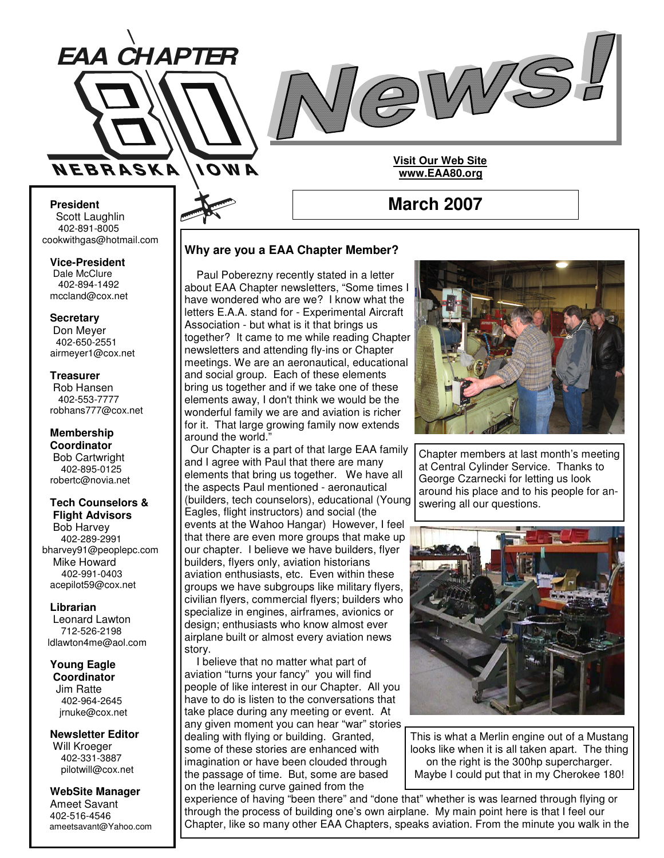



**March 2007**

**Visit Our Web Site www.EAA80.org**

**President** Scott Laughlin 402-891-8005 cookwithgas@hotmail.com

**Vice-President** Dale McClure 402-894-1492 mccland@cox.net

**Secretary** Don Meyer 402-650-2551

airmeyer1@cox.net **Treasurer** Rob Hansen

402-553-7777 robhans777@cox.net

**Membership Coordinator** Bob Cartwright 402-895-0125 robertc@novia.net

**Tech Counselors & Flight Advisors** Bob Harvey 402-289-2991 bharvey91@peoplepc.com Mike Howard 402-991-0403 acepilot59@cox.net

**Librarian** Leonard Lawton 712-526-2198 ldlawton4me@aol.com

**Young Eagle**

**Coordinator** Jim Ratte 402-964-2645 jrnuke@cox.net

**Newsletter Editor** Will Kroeger 402-331-3887 pilotwill@cox.net

**WebSite Manager** Ameet Savant 402-516-4546 ameetsavant@Yahoo.com

# **Why are you a EAA Chapter Member?**

Paul Poberezny recently stated in a letter about EAA Chapter newsletters, "Some times I have wondered who are we? I know what the letters E.A.A. stand for - Experimental Aircraft Association - but what is it that brings us together? It came to me while reading Chapter newsletters and attending fly-ins or Chapter meetings. We are an aeronautical, educational and social group. Each of these elements bring us together and if we take one of these elements away, I don't think we would be the wonderful family we are and aviation is richer for it. That large growing family now extends around the world."

Our Chapter is a part of that large EAA family and I agree with Paul that there are many elements that bring us together. We have all the aspects Paul mentioned - aeronautical (builders, tech counselors), educational (Young Eagles, flight instructors) and social (the events at the Wahoo Hangar) However, I feel that there are even more groups that make up our chapter. I believe we have builders, flyer builders, flyers only, aviation historians aviation enthusiasts, etc. Even within these groups we have subgroups like military flyers, civilian flyers, commercial flyers; builders who specialize in engines, airframes, avionics or design; enthusiasts who know almost ever airplane built or almost every aviation news story.

I believe that no matter what part of aviation "turns your fancy" you will find people of like interest in our Chapter. All you have to do is listen to the conversations that take place during any meeting or event. At any given moment you can hear "war" stories dealing with flying or building. Granted, some of these stories are enhanced with imagination or have been clouded through the passage of time. But, some are based on the learning curve gained from the



Chapter members at last month's meeting at Central Cylinder Service. Thanks to George Czarnecki for letting us look around his place and to his people for answering all our questions.



This is what a Merlin engine out of a Mustang looks like when it is all taken apart. The thing on the right is the 300hp supercharger. Maybe I could put that in my Cherokee 180!

experience of having "been there" and "done that" whether is was learned through flying or through the process of building one's own airplane. My main point here is that I feel our Chapter, like so many other EAA Chapters, speaks aviation. From the minute you walk in the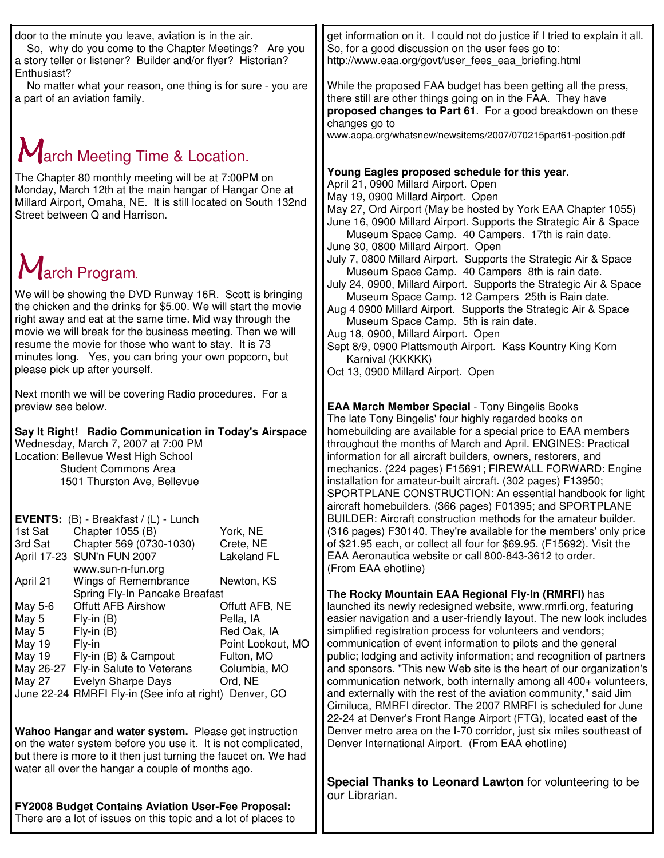| <b>FY2008 Budget Contains Aviation User-Fee Proposal:</b><br>There are a lot of issues on this topic and a lot of places to                                                                                                                                                                                                                                                                                                                                                                                                                                                                                                                                                                                                                                                                                                                                                                                                                                                                                                                                                                                                                                                                                                                                                                                                                                                                                                                                                                                                                                                                   |                                                                                                                                                                                                                                                                                                                                                                                                                                                                                                                                                                                                                                                                                                                                                                                                                                                                                                                                                                                                                                                                                                                                                                                                                                                                                                                                                                                                                                                                                                                                                                                                                                                                                                                                                                                                                                                                                                                                                                                                                                                                                                                         |
|-----------------------------------------------------------------------------------------------------------------------------------------------------------------------------------------------------------------------------------------------------------------------------------------------------------------------------------------------------------------------------------------------------------------------------------------------------------------------------------------------------------------------------------------------------------------------------------------------------------------------------------------------------------------------------------------------------------------------------------------------------------------------------------------------------------------------------------------------------------------------------------------------------------------------------------------------------------------------------------------------------------------------------------------------------------------------------------------------------------------------------------------------------------------------------------------------------------------------------------------------------------------------------------------------------------------------------------------------------------------------------------------------------------------------------------------------------------------------------------------------------------------------------------------------------------------------------------------------|-------------------------------------------------------------------------------------------------------------------------------------------------------------------------------------------------------------------------------------------------------------------------------------------------------------------------------------------------------------------------------------------------------------------------------------------------------------------------------------------------------------------------------------------------------------------------------------------------------------------------------------------------------------------------------------------------------------------------------------------------------------------------------------------------------------------------------------------------------------------------------------------------------------------------------------------------------------------------------------------------------------------------------------------------------------------------------------------------------------------------------------------------------------------------------------------------------------------------------------------------------------------------------------------------------------------------------------------------------------------------------------------------------------------------------------------------------------------------------------------------------------------------------------------------------------------------------------------------------------------------------------------------------------------------------------------------------------------------------------------------------------------------------------------------------------------------------------------------------------------------------------------------------------------------------------------------------------------------------------------------------------------------------------------------------------------------------------------------------------------------|
| the chicken and the drinks for \$5.00. We will start the movie<br>right away and eat at the same time. Mid way through the<br>movie we will break for the business meeting. Then we will<br>resume the movie for those who want to stay. It is 73<br>minutes long. Yes, you can bring your own popcorn, but<br>please pick up after yourself.<br>Next month we will be covering Radio procedures. For a<br>preview see below.<br>Say It Right! Radio Communication in Today's Airspace<br>Wednesday, March 7, 2007 at 7:00 PM<br>Location: Bellevue West High School<br><b>Student Commons Area</b><br>1501 Thurston Ave, Bellevue<br>EVENTS: (B) - Breakfast / (L) - Lunch<br>York, NE<br>1st Sat<br>Chapter 1055 (B)<br>3rd Sat<br>Chapter 569 (0730-1030)<br>Crete, NE<br>April 17-23 SUN'n FUN 2007<br><b>Lakeland FL</b><br>www.sun-n-fun.org<br>April 21<br>Wings of Remembrance<br>Newton, KS<br>Spring Fly-In Pancake Breafast<br>May 5-6<br><b>Offutt AFB Airshow</b><br>Offutt AFB, NE<br>May 5<br>$Fly-in(B)$<br>Pella, IA<br>May 5<br>Red Oak, IA<br>$Fly-in(B)$<br>May 19<br>Point Lookout, MO<br>Fly-in<br>May 19<br>Fly-in (B) & Campout<br>Fulton, MO<br>Fly-in Salute to Veterans<br>May 26-27<br>Columbia, MO<br>Evelyn Sharpe Days<br><b>May 27</b><br>Ord, NE<br>June 22-24 RMRFI Fly-in (See info at right) Denver, CO<br>Wahoo Hangar and water system. Please get instruction<br>on the water system before you use it. It is not complicated,<br>but there is more to it then just turning the faucet on. We had<br>water all over the hangar a couple of months ago. | Aug 4 0900 Millard Airport. Supports the Strategic Air & Space<br>Museum Space Camp. 5th is rain date.<br>Aug 18, 0900, Millard Airport. Open<br>Sept 8/9, 0900 Plattsmouth Airport. Kass Kountry King Korn<br>Karnival (KKKKK)<br>Oct 13, 0900 Millard Airport. Open<br><b>EAA March Member Special - Tony Bingelis Books</b><br>The late Tony Bingelis' four highly regarded books on<br>homebuilding are available for a special price to EAA members<br>throughout the months of March and April. ENGINES: Practical<br>information for all aircraft builders, owners, restorers, and<br>mechanics. (224 pages) F15691; FIREWALL FORWARD: Engine<br>installation for amateur-built aircraft. (302 pages) F13950;<br>SPORTPLANE CONSTRUCTION: An essential handbook for light<br>aircraft homebuilders. (366 pages) F01395; and SPORTPLANE<br>BUILDER: Aircraft construction methods for the amateur builder.<br>(316 pages) F30140. They're available for the members' only price<br>of \$21.95 each, or collect all four for \$69.95. (F15692). Visit the<br>EAA Aeronautica website or call 800-843-3612 to order.<br>(From EAA ehotline)<br>The Rocky Mountain EAA Regional Fly-In (RMRFI) has<br>launched its newly redesigned website, www.rmrfi.org, featuring<br>easier navigation and a user-friendly layout. The new look includes<br>simplified registration process for volunteers and vendors;<br>communication of event information to pilots and the general<br>public; lodging and activity information; and recognition of partners<br>and sponsors. "This new Web site is the heart of our organization's<br>communication network, both internally among all 400+ volunteers,<br>and externally with the rest of the aviation community," said Jim<br>Cimiluca, RMRFI director. The 2007 RMRFI is scheduled for June<br>22-24 at Denver's Front Range Airport (FTG), located east of the<br>Denver metro area on the I-70 corridor, just six miles southeast of<br>Denver International Airport. (From EAA ehotline)<br>Special Thanks to Leonard Lawton for volunteering to be<br>our Librarian. |
| The Chapter 80 monthly meeting will be at 7:00PM on<br>Monday, March 12th at the main hangar of Hangar One at<br>Millard Airport, Omaha, NE. It is still located on South 132nd<br>Street between Q and Harrison.<br>March Program.<br>We will be showing the DVD Runway 16R. Scott is bringing                                                                                                                                                                                                                                                                                                                                                                                                                                                                                                                                                                                                                                                                                                                                                                                                                                                                                                                                                                                                                                                                                                                                                                                                                                                                                               | Young Eagles proposed schedule for this year.<br>April 21, 0900 Millard Airport. Open<br>May 19, 0900 Millard Airport. Open<br>May 27, Ord Airport (May be hosted by York EAA Chapter 1055)<br>June 16, 0900 Millard Airport. Supports the Strategic Air & Space<br>Museum Space Camp. 40 Campers. 17th is rain date.<br>June 30, 0800 Millard Airport. Open<br>July 7, 0800 Millard Airport. Supports the Strategic Air & Space<br>Museum Space Camp. 40 Campers 8th is rain date.<br>July 24, 0900, Millard Airport. Supports the Strategic Air & Space<br>Museum Space Camp. 12 Campers 25th is Rain date.                                                                                                                                                                                                                                                                                                                                                                                                                                                                                                                                                                                                                                                                                                                                                                                                                                                                                                                                                                                                                                                                                                                                                                                                                                                                                                                                                                                                                                                                                                           |
| Enthusiast?<br>No matter what your reason, one thing is for sure - you are<br>a part of an aviation family.<br>March Meeting Time & Location.                                                                                                                                                                                                                                                                                                                                                                                                                                                                                                                                                                                                                                                                                                                                                                                                                                                                                                                                                                                                                                                                                                                                                                                                                                                                                                                                                                                                                                                 | While the proposed FAA budget has been getting all the press,<br>there still are other things going on in the FAA. They have<br>proposed changes to Part 61. For a good breakdown on these<br>changes go to<br>www.aopa.org/whatsnew/newsitems/2007/070215part61-position.pdf                                                                                                                                                                                                                                                                                                                                                                                                                                                                                                                                                                                                                                                                                                                                                                                                                                                                                                                                                                                                                                                                                                                                                                                                                                                                                                                                                                                                                                                                                                                                                                                                                                                                                                                                                                                                                                           |
| door to the minute you leave, aviation is in the air.<br>So, why do you come to the Chapter Meetings? Are you<br>a story teller or listener? Builder and/or flyer? Historian?                                                                                                                                                                                                                                                                                                                                                                                                                                                                                                                                                                                                                                                                                                                                                                                                                                                                                                                                                                                                                                                                                                                                                                                                                                                                                                                                                                                                                 | get information on it. I could not do justice if I tried to explain it all.<br>So, for a good discussion on the user fees go to:<br>http://www.eaa.org/govt/user_fees_eaa_briefing.html                                                                                                                                                                                                                                                                                                                                                                                                                                                                                                                                                                                                                                                                                                                                                                                                                                                                                                                                                                                                                                                                                                                                                                                                                                                                                                                                                                                                                                                                                                                                                                                                                                                                                                                                                                                                                                                                                                                                 |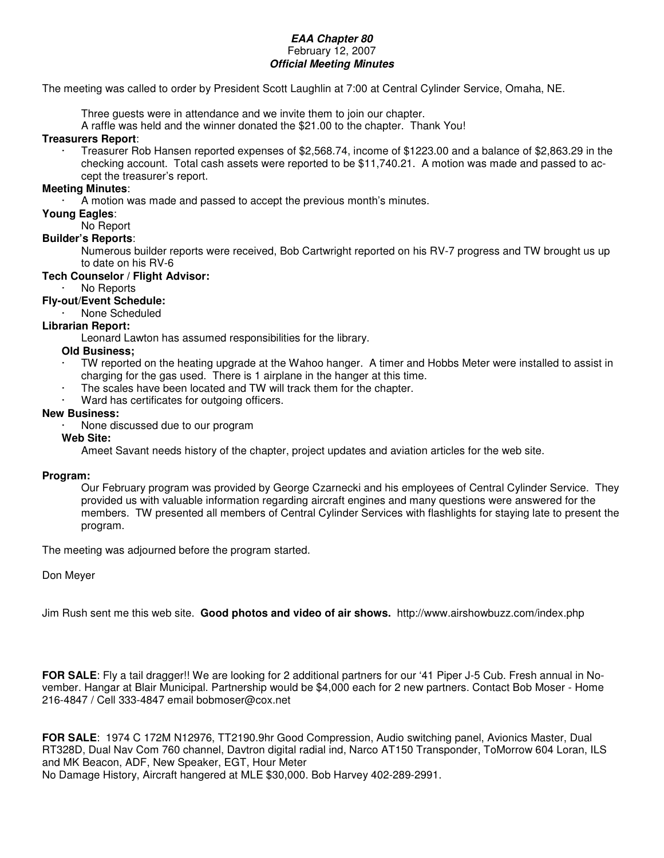### *EAA Chapter 80* February 12, 2007 *Official Meeting Minutes*

The meeting was called to order by President Scott Laughlin at 7:00 at Central Cylinder Service, Omaha, NE.

Three guests were in attendance and we invite them to join our chapter.

A raffle was held and the winner donated the \$21.00 to the chapter. Thank You!

### **Treasurers Report**:

· Treasurer Rob Hansen reported expenses of \$2,568.74, income of \$1223.00 and a balance of \$2,863.29 in the checking account. Total cash assets were reported to be \$11,740.21. A motion was made and passed to accept the treasurer's report.

### **Meeting Minutes**:

A motion was made and passed to accept the previous month's minutes.

### **Young Eagles**:

No Report

### **Builder's Reports**:

Numerous builder reports were received, Bob Cartwright reported on his RV-7 progress and TW brought us up to date on his RV-6

### **Tech Counselor / Flight Advisor:**

- No Reports
- **Fly-out/Event Schedule:**
	- None Scheduled

# **Librarian Report:**

Leonard Lawton has assumed responsibilities for the library.

## **Old Business;**

- · TW reported on the heating upgrade at the Wahoo hanger. A timer and Hobbs Meter were installed to assist in charging for the gas used. There is 1 airplane in the hanger at this time.
- The scales have been located and TW will track them for the chapter.
- Ward has certificates for outgoing officers.

### **New Business:**

None discussed due to our program

### **Web Site:**

Ameet Savant needs history of the chapter, project updates and aviation articles for the web site.

### **Program:**

Our February program was provided by George Czarnecki and his employees of Central Cylinder Service. They provided us with valuable information regarding aircraft engines and many questions were answered for the members. TW presented all members of Central Cylinder Services with flashlights for staying late to present the program.

The meeting was adjourned before the program started.

## Don Meyer

Jim Rush sent me this web site. **Good photos and video of air shows.** http://www.airshowbuzz.com/index.php

**FOR SALE**: Fly a tail dragger!! We are looking for 2 additional partners for our '41 Piper J-5 Cub. Fresh annual in November. Hangar at Blair Municipal. Partnership would be \$4,000 each for 2 new partners. Contact Bob Moser - Home 216-4847 / Cell 333-4847 email bobmoser@cox.net

**FOR SALE**: 1974 C 172M N12976, TT2190.9hr Good Compression, Audio switching panel, Avionics Master, Dual RT328D, Dual Nav Com 760 channel, Davtron digital radial ind, Narco AT150 Transponder, ToMorrow 604 Loran, ILS and MK Beacon, ADF, New Speaker, EGT, Hour Meter No Damage History, Aircraft hangered at MLE \$30,000. Bob Harvey 402-289-2991.